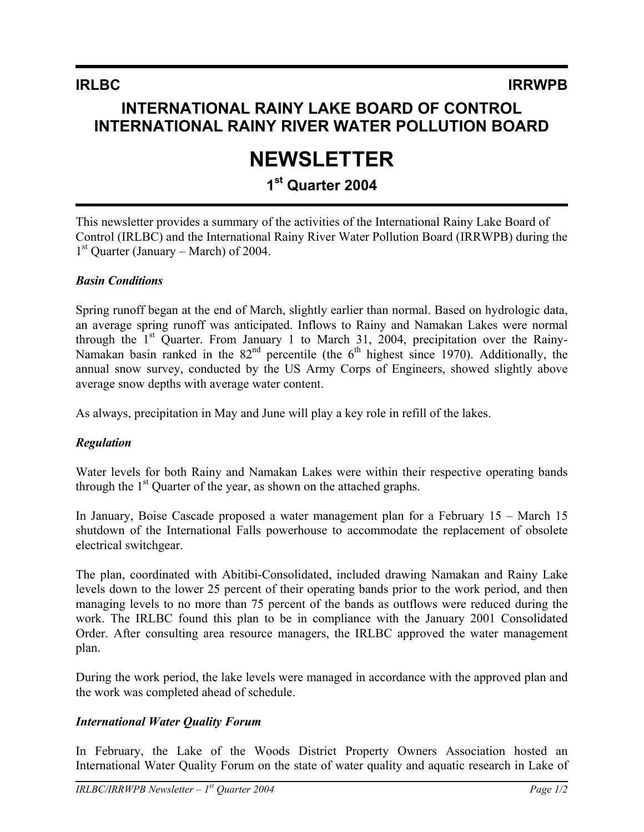# **INTERNATIONAL RAINY LAKE BOARD OF CONTROL INTERNATIONAL RAINY RIVER WATER POLLUTION BOARD**

# **NEWSLETTER**

# **1st Quarter 2004**

This newsletter provides a summary of the activities of the International Rainy Lake Board of Control (IRLBC) and the International Rainy River Water Pollution Board (IRRWPB) during the  $1<sup>st</sup>$  Quarter (January – March) of 2004.

### *Basin Conditions*

Spring runoff began at the end of March, slightly earlier than normal. Based on hydrologic data, an average spring runoff was anticipated. Inflows to Rainy and Namakan Lakes were normal through the  $1<sup>st</sup>$  Quarter. From January 1 to March 31, 2004, precipitation over the Rainy-Namakan basin ranked in the  $82<sup>nd</sup>$  percentile (the 6<sup>th</sup> highest since 1970). Additionally, the annual snow survey, conducted by the US Army Corps of Engineers, showed slightly above average snow depths with average water content.

As always, precipitation in May and June will play a key role in refill of the lakes.

## *Regulation*

Water levels for both Rainy and Namakan Lakes were within their respective operating bands through the  $1<sup>st</sup>$  Quarter of the year, as shown on the attached graphs.

In January, Boise Cascade proposed a water management plan for a February 15 – March 15 shutdown of the International Falls powerhouse to accommodate the replacement of obsolete electrical switchgear.

The plan, coordinated with Abitibi-Consolidated, included drawing Namakan and Rainy Lake levels down to the lower 25 percent of their operating bands prior to the work period, and then managing levels to no more than 75 percent of the bands as outflows were reduced during the work. The IRLBC found this plan to be in compliance with the January 2001 Consolidated Order. After consulting area resource managers, the IRLBC approved the water management plan.

During the work period, the lake levels were managed in accordance with the approved plan and the work was completed ahead of schedule.

## *International Water Quality Forum*

In February, the Lake of the Woods District Property Owners Association hosted an International Water Quality Forum on the state of water quality and aquatic research in Lake of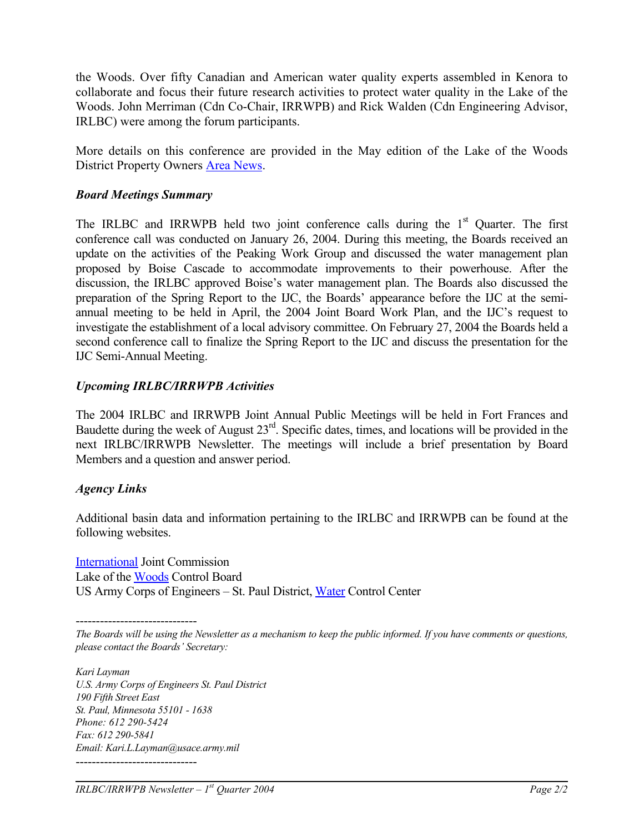the Woods. Over fifty Canadian and American water quality experts assembled in Kenora to collaborate and focus their future research activities to protect water quality in the Lake of the Woods. John Merriman (Cdn Co-Chair, IRRWPB) and Rick Walden (Cdn Engineering Advisor, IRLBC) were among the forum participants.

More details on this conference are provided in the May edition of the Lake of the Woods District Property Owners [Area News](http://www.lowdpoa.com/).

#### *Board Meetings Summary*

The IRLBC and IRRWPB held two joint conference calls during the  $1<sup>st</sup>$  Quarter. The first conference call was conducted on January 26, 2004. During this meeting, the Boards received an update on the activities of the Peaking Work Group and discussed the water management plan proposed by Boise Cascade to accommodate improvements to their powerhouse. After the discussion, the IRLBC approved Boise's water management plan. The Boards also discussed the preparation of the Spring Report to the IJC, the Boards' appearance before the IJC at the semiannual meeting to be held in April, the 2004 Joint Board Work Plan, and the IJC's request to investigate the establishment of a local advisory committee. On February 27, 2004 the Boards held a second conference call to finalize the Spring Report to the IJC and discuss the presentation for the IJC Semi-Annual Meeting.

#### *Upcoming IRLBC/IRRWPB Activities*

The 2004 IRLBC and IRRWPB Joint Annual Public Meetings will be held in Fort Frances and Baudette during the week of August 23<sup>rd</sup>. Specific dates, times, and locations will be provided in the next IRLBC/IRRWPB Newsletter. The meetings will include a brief presentation by Board Members and a question and answer period.

#### *Agency Links*

Additional basin data and information pertaining to the IRLBC and IRRWPB can be found at the following websites.

[International](http://www.ijc.org/) Joint Commission Lake of the [Woods](http://www.lwcb.ca/) Control Board US Army Corps of Engineers – St. Paul District, [Water](http://www.mvp-wc.usace.army.mil/) Control Center

------------------------------ *The Boards will be using the Newsletter as a mechanism to keep the public informed. If you have comments or questions, please contact the Boards' Secretary:* 

*Kari Layman U.S. Army Corps of Engineers St. Paul District 190 Fifth Street East St. Paul, Minnesota 55101 - 1638 Phone: 612 290-5424 Fax: 612 290-5841 Email: Kari.L.Layman@usace.army.mil*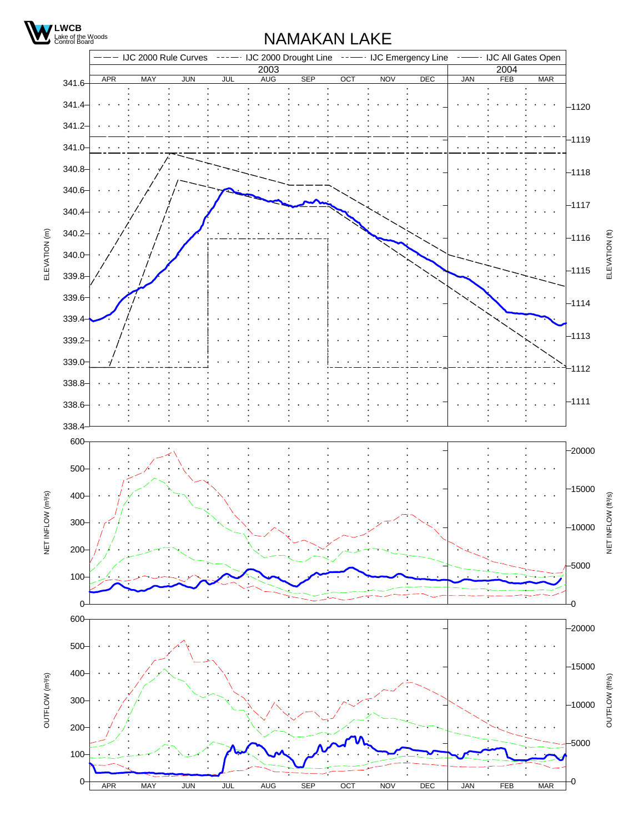